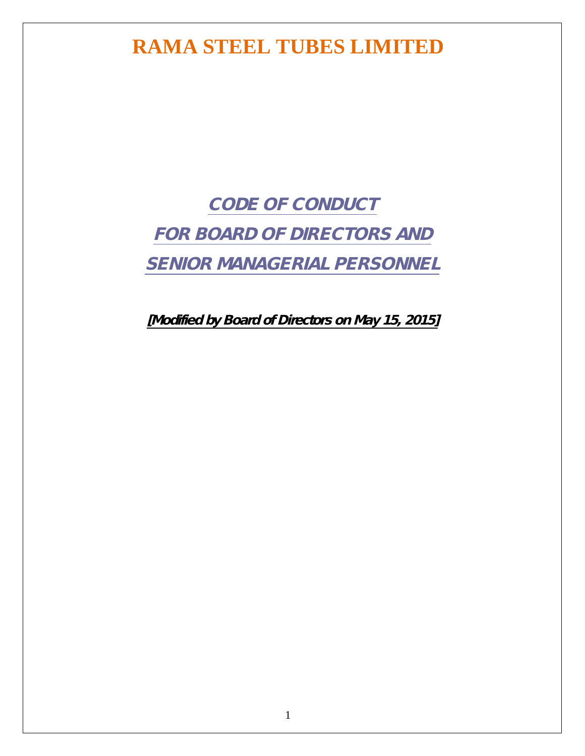*CODE OF CONDUCT FOR BOARD OF DIRECTORS AND SENIOR MANAGERIAL PERSONNEL* 

*[Modified by Board of Directors on May 15, 2015]*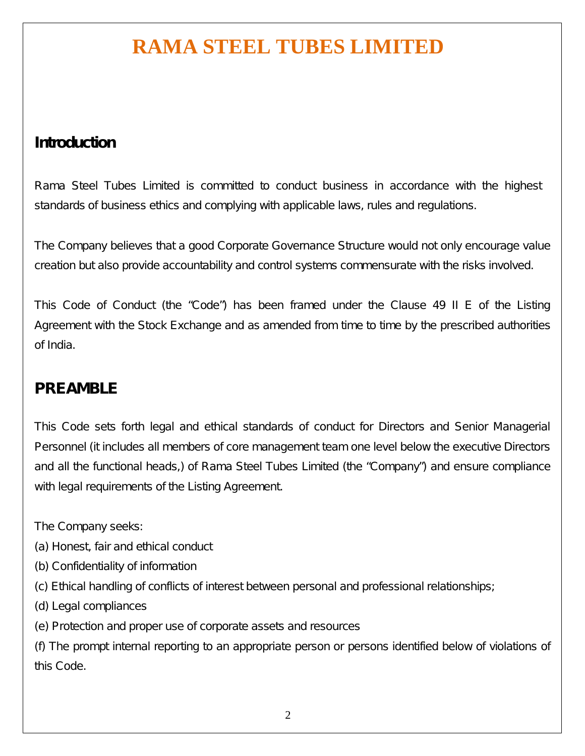### **Introduction**

Rama Steel Tubes Limited is committed to conduct business in accordance with the highest standards of business ethics and complying with applicable laws, rules and regulations.

The Company believes that a good Corporate Governance Structure would not only encourage value creation but also provide accountability and control systems commensurate with the risks involved.

This Code of Conduct (the "Code") has been framed under the Clause 49 II E of the Listing Agreement with the Stock Exchange and as amended from time to time by the prescribed authorities of India.

### **PREAMBLE**

This Code sets forth legal and ethical standards of conduct for Directors and Senior Managerial Personnel (it includes all members of core management team one level below the executive Directors and all the functional heads,) of Rama Steel Tubes Limited (the "Company") and ensure compliance with legal requirements of the Listing Agreement.

The Company seeks:

- (a) Honest, fair and ethical conduct
- (b) Confidentiality of information
- (c) Ethical handling of conflicts of interest between personal and professional relationships;
- (d) Legal compliances
- (e) Protection and proper use of corporate assets and resources

(f) The prompt internal reporting to an appropriate person or persons identified below of violations of this Code.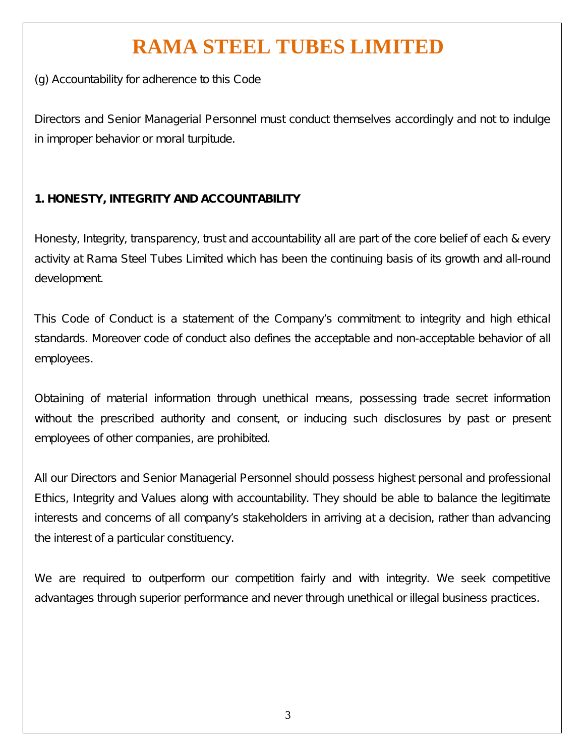(g) Accountability for adherence to this Code

Directors and Senior Managerial Personnel must conduct themselves accordingly and not to indulge in improper behavior or moral turpitude.

### **1. HONESTY, INTEGRITY AND ACCOUNTABILITY**

Honesty, Integrity, transparency, trust and accountability all are part of the core belief of each & every activity at Rama Steel Tubes Limited which has been the continuing basis of its growth and all-round development.

This Code of Conduct is a statement of the Company's commitment to integrity and high ethical standards. Moreover code of conduct also defines the acceptable and non-acceptable behavior of all employees.

Obtaining of material information through unethical means, possessing trade secret information without the prescribed authority and consent, or inducing such disclosures by past or present employees of other companies, are prohibited.

All our Directors and Senior Managerial Personnel should possess highest personal and professional Ethics, Integrity and Values along with accountability. They should be able to balance the legitimate interests and concerns of all company's stakeholders in arriving at a decision, rather than advancing the interest of a particular constituency.

We are required to outperform our competition fairly and with integrity. We seek competitive advantages through superior performance and never through unethical or illegal business practices.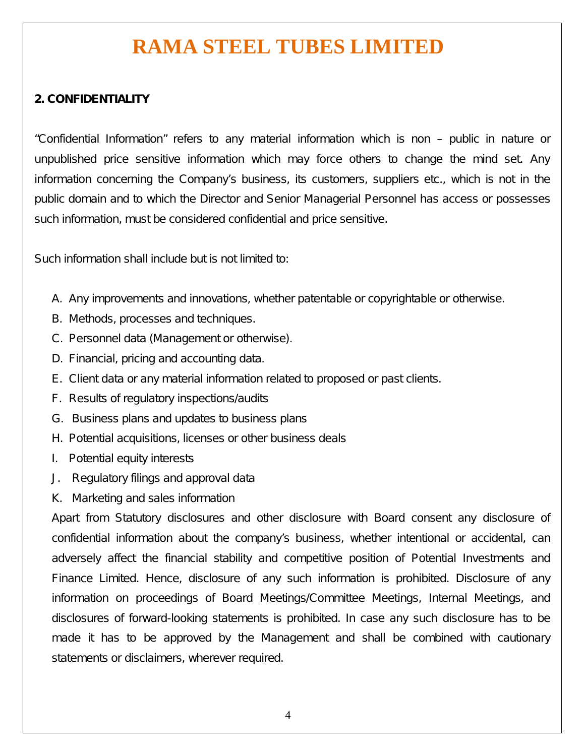#### **2. CONFIDENTIALITY**

"Confidential Information" refers to any material information which is non – public in nature or unpublished price sensitive information which may force others to change the mind set. Any information concerning the Company's business, its customers, suppliers etc., which is not in the public domain and to which the Director and Senior Managerial Personnel has access or possesses such information, must be considered confidential and price sensitive.

Such information shall include but is not limited to:

- A. Any improvements and innovations, whether patentable or copyrightable or otherwise.
- B. Methods, processes and techniques.
- C. Personnel data (Management or otherwise).
- D. Financial, pricing and accounting data.
- E. Client data or any material information related to proposed or past clients.
- F. Results of regulatory inspections/audits
- G. Business plans and updates to business plans
- H. Potential acquisitions, licenses or other business deals
- I. Potential equity interests
- J. Regulatory filings and approval data
- K. Marketing and sales information

Apart from Statutory disclosures and other disclosure with Board consent any disclosure of confidential information about the company's business, whether intentional or accidental, can adversely affect the financial stability and competitive position of Potential Investments and Finance Limited. Hence, disclosure of any such information is prohibited. Disclosure of any information on proceedings of Board Meetings/Committee Meetings, Internal Meetings, and disclosures of forward-looking statements is prohibited. In case any such disclosure has to be made it has to be approved by the Management and shall be combined with cautionary statements or disclaimers, wherever required.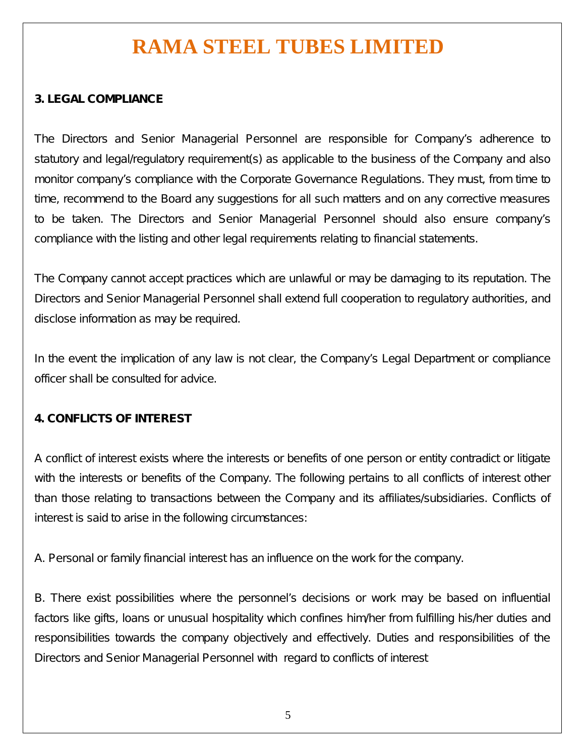#### **3. LEGAL COMPLIANCE**

The Directors and Senior Managerial Personnel are responsible for Company's adherence to statutory and legal/regulatory requirement(s) as applicable to the business of the Company and also monitor company's compliance with the Corporate Governance Regulations. They must, from time to time, recommend to the Board any suggestions for all such matters and on any corrective measures to be taken. The Directors and Senior Managerial Personnel should also ensure company's compliance with the listing and other legal requirements relating to financial statements.

The Company cannot accept practices which are unlawful or may be damaging to its reputation. The Directors and Senior Managerial Personnel shall extend full cooperation to regulatory authorities, and disclose information as may be required.

In the event the implication of any law is not clear, the Company's Legal Department or compliance officer shall be consulted for advice.

#### **4. CONFLICTS OF INTEREST**

A conflict of interest exists where the interests or benefits of one person or entity contradict or litigate with the interests or benefits of the Company. The following pertains to all conflicts of interest other than those relating to transactions between the Company and its affiliates/subsidiaries. Conflicts of interest is said to arise in the following circumstances:

A. Personal or family financial interest has an influence on the work for the company.

B. There exist possibilities where the personnel's decisions or work may be based on influential factors like gifts, loans or unusual hospitality which confines him/her from fulfilling his/her duties and responsibilities towards the company objectively and effectively. Duties and responsibilities of the Directors and Senior Managerial Personnel with regard to conflicts of interest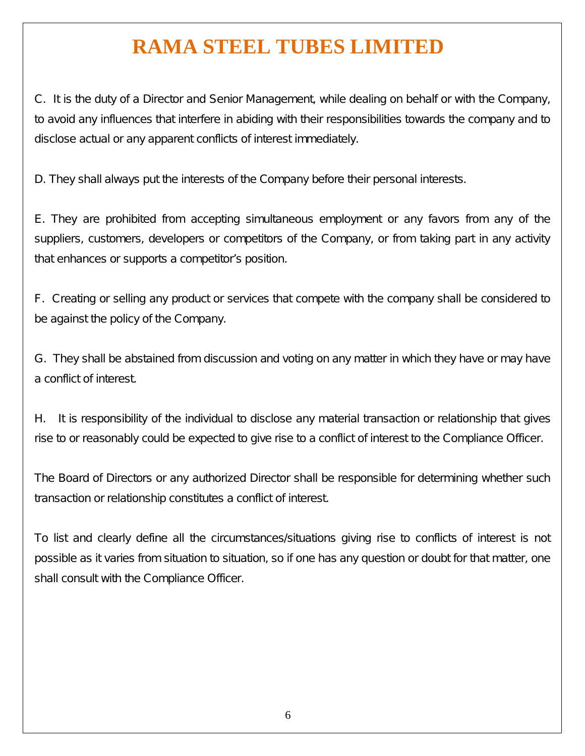C. It is the duty of a Director and Senior Management, while dealing on behalf or with the Company, to avoid any influences that interfere in abiding with their responsibilities towards the company and to disclose actual or any apparent conflicts of interest immediately.

D. They shall always put the interests of the Company before their personal interests.

E. They are prohibited from accepting simultaneous employment or any favors from any of the suppliers, customers, developers or competitors of the Company, or from taking part in any activity that enhances or supports a competitor's position.

F. Creating or selling any product or services that compete with the company shall be considered to be against the policy of the Company.

G. They shall be abstained from discussion and voting on any matter in which they have or may have a conflict of interest.

H. It is responsibility of the individual to disclose any material transaction or relationship that gives rise to or reasonably could be expected to give rise to a conflict of interest to the Compliance Officer.

The Board of Directors or any authorized Director shall be responsible for determining whether such transaction or relationship constitutes a conflict of interest.

To list and clearly define all the circumstances/situations giving rise to conflicts of interest is not possible as it varies from situation to situation, so if one has any question or doubt for that matter, one shall consult with the Compliance Officer.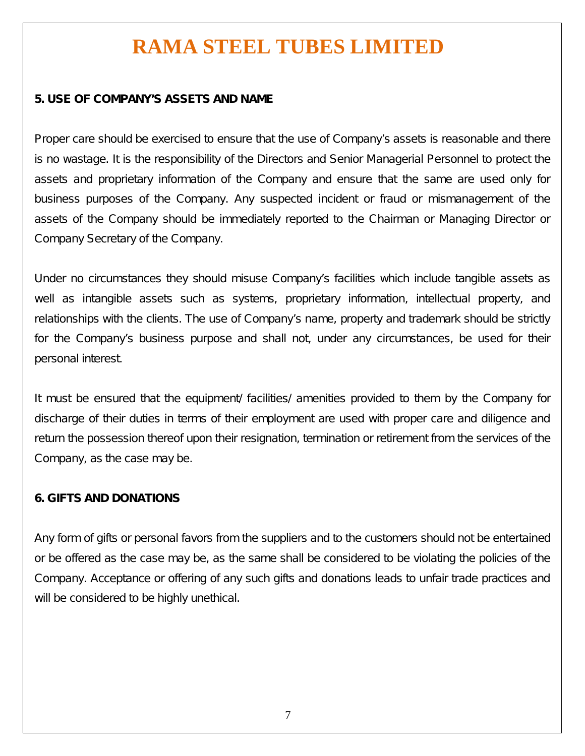#### **5. USE OF COMPANY'S ASSETS AND NAME**

Proper care should be exercised to ensure that the use of Company's assets is reasonable and there is no wastage. It is the responsibility of the Directors and Senior Managerial Personnel to protect the assets and proprietary information of the Company and ensure that the same are used only for business purposes of the Company. Any suspected incident or fraud or mismanagement of the assets of the Company should be immediately reported to the Chairman or Managing Director or Company Secretary of the Company.

Under no circumstances they should misuse Company's facilities which include tangible assets as well as intangible assets such as systems, proprietary information, intellectual property, and relationships with the clients. The use of Company's name, property and trademark should be strictly for the Company's business purpose and shall not, under any circumstances, be used for their personal interest.

It must be ensured that the equipment/ facilities/ amenities provided to them by the Company for discharge of their duties in terms of their employment are used with proper care and diligence and return the possession thereof upon their resignation, termination or retirement from the services of the Company, as the case may be.

#### **6. GIFTS AND DONATIONS**

Any form of gifts or personal favors from the suppliers and to the customers should not be entertained or be offered as the case may be, as the same shall be considered to be violating the policies of the Company. Acceptance or offering of any such gifts and donations leads to unfair trade practices and will be considered to be highly unethical.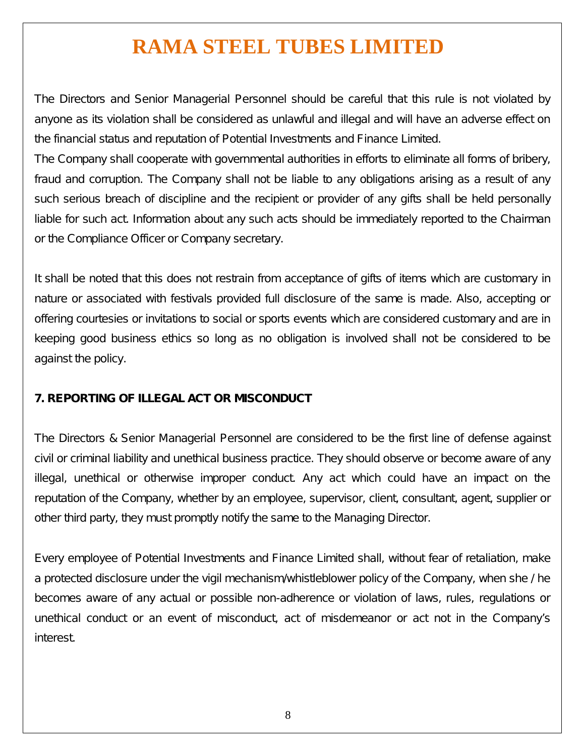The Directors and Senior Managerial Personnel should be careful that this rule is not violated by anyone as its violation shall be considered as unlawful and illegal and will have an adverse effect on the financial status and reputation of Potential Investments and Finance Limited.

The Company shall cooperate with governmental authorities in efforts to eliminate all forms of bribery, fraud and corruption. The Company shall not be liable to any obligations arising as a result of any such serious breach of discipline and the recipient or provider of any gifts shall be held personally liable for such act. Information about any such acts should be immediately reported to the Chairman or the Compliance Officer or Company secretary.

It shall be noted that this does not restrain from acceptance of gifts of items which are customary in nature or associated with festivals provided full disclosure of the same is made. Also, accepting or offering courtesies or invitations to social or sports events which are considered customary and are in keeping good business ethics so long as no obligation is involved shall not be considered to be against the policy.

#### **7. REPORTING OF ILLEGAL ACT OR MISCONDUCT**

The Directors & Senior Managerial Personnel are considered to be the first line of defense against civil or criminal liability and unethical business practice. They should observe or become aware of any illegal, unethical or otherwise improper conduct. Any act which could have an impact on the reputation of the Company, whether by an employee, supervisor, client, consultant, agent, supplier or other third party, they must promptly notify the same to the Managing Director.

Every employee of Potential Investments and Finance Limited shall, without fear of retaliation, make a protected disclosure under the vigil mechanism/whistleblower policy of the Company, when she / he becomes aware of any actual or possible non-adherence or violation of laws, rules, regulations or unethical conduct or an event of misconduct, act of misdemeanor or act not in the Company's interest.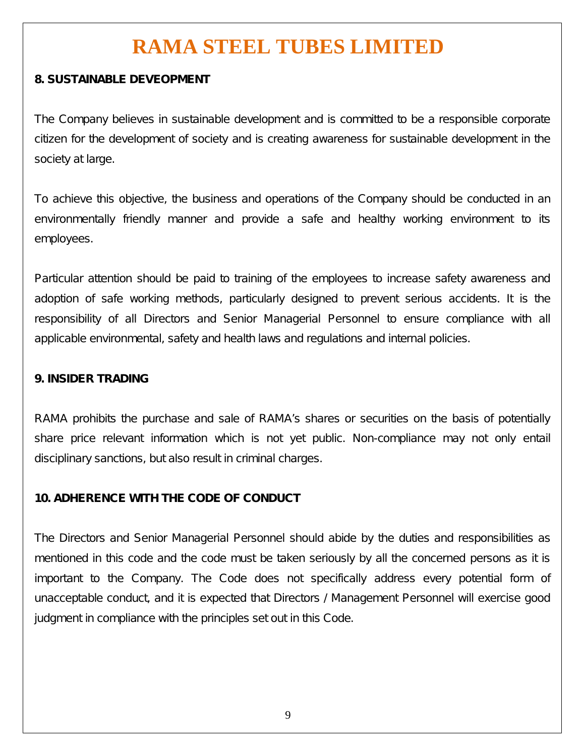#### **8. SUSTAINABLE DEVEOPMENT**

The Company believes in sustainable development and is committed to be a responsible corporate citizen for the development of society and is creating awareness for sustainable development in the society at large.

To achieve this objective, the business and operations of the Company should be conducted in an environmentally friendly manner and provide a safe and healthy working environment to its employees.

Particular attention should be paid to training of the employees to increase safety awareness and adoption of safe working methods, particularly designed to prevent serious accidents. It is the responsibility of all Directors and Senior Managerial Personnel to ensure compliance with all applicable environmental, safety and health laws and regulations and internal policies.

#### **9. INSIDER TRADING**

RAMA prohibits the purchase and sale of RAMA's shares or securities on the basis of potentially share price relevant information which is not yet public. Non-compliance may not only entail disciplinary sanctions, but also result in criminal charges.

#### **10. ADHERENCE WITH THE CODE OF CONDUCT**

The Directors and Senior Managerial Personnel should abide by the duties and responsibilities as mentioned in this code and the code must be taken seriously by all the concerned persons as it is important to the Company. The Code does not specifically address every potential form of unacceptable conduct, and it is expected that Directors / Management Personnel will exercise good judgment in compliance with the principles set out in this Code.